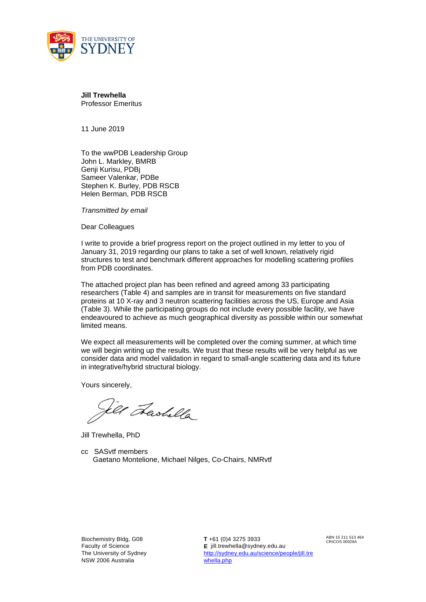

**Jill Trewhella** Professor Emeritus

11 June 2019

To the wwPDB Leadership Group John L. Markley, BMRB Genji Kurisu, PDBj Sameer Valenkar, PDBe Stephen K. Burley, PDB RSCB Helen Berman, PDB RSCB

*Transmitted by email*

Dear Colleagues

I write to provide a brief progress report on the project outlined in my letter to you of January 31, 2019 regarding our plans to take a set of well known, relatively rigid structures to test and benchmark different approaches for modelling scattering profiles from PDB coordinates.

The attached project plan has been refined and agreed among 33 participating researchers (Table 4) and samples are in transit for measurements on five standard proteins at 10 X-ray and 3 neutron scattering facilities across the US, Europe and Asia (Table 3). While the participating groups do not include every possible facility, we have endeavoured to achieve as much geographical diversity as possible within our somewhat limited means.

We expect all measurements will be completed over the coming summer, at which time we will begin writing up the results. We trust that these results will be very helpful as we consider data and model validation in regard to small-angle scattering data and its future in integrative/hybrid structural biology.

Yours sincerely,

tel Lashella

Jill Trewhella, PhD

cc SASvtf members Gaetano Montelione, Michael Nilges, Co-Chairs, NMRvtf

Biochemistry Bldg, G08 Faculty of Science The University of Sydney NSW 2006 Australia

**T** +61 (0)4 3275 3933 **E** jill.trewhella@sydney.edu.au [http://sydney.edu.au/science/people/jill.tre](http://sydney.edu.au/science/people/jill.trewhella.php) [whella.php](http://sydney.edu.au/science/people/jill.trewhella.php)

ABN 15 211 513 464 CRICOS 00026A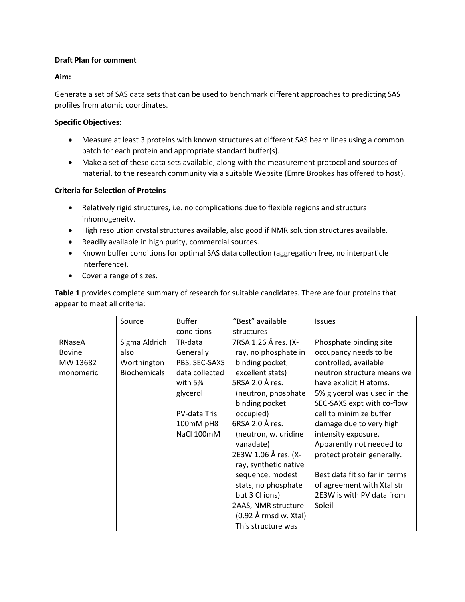# **Draft Plan for comment**

# **Aim:**

Generate a set of SAS data sets that can be used to benchmark different approaches to predicting SAS profiles from atomic coordinates.

# **Specific Objectives:**

- Measure at least 3 proteins with known structures at different SAS beam lines using a common batch for each protein and appropriate standard buffer(s).
- Make a set of these data sets available, along with the measurement protocol and sources of material, to the research community via a suitable Website (Emre Brookes has offered to host).

# **Criteria for Selection of Proteins**

- Relatively rigid structures, i.e. no complications due to flexible regions and structural inhomogeneity.
- High resolution crystal structures available, also good if NMR solution structures available.
- Readily available in high purity, commercial sources.
- Known buffer conditions for optimal SAS data collection (aggregation free, no interparticle interference).
- Cover a range of sizes.

**Table 1** provides complete summary of research for suitable candidates. There are four proteins that appear to meet all criteria:

|               | Source              | <b>Buffer</b>  | "Best" available      | <b>Issues</b>                 |
|---------------|---------------------|----------------|-----------------------|-------------------------------|
|               |                     | conditions     | structures            |                               |
| RNaseA        | Sigma Aldrich       | TR-data        | 7RSA 1.26 Å res. (X-  | Phosphate binding site        |
| <b>Bovine</b> | also                | Generally      | ray, no phosphate in  | occupancy needs to be         |
| MW 13682      | Worthington         | PBS, SEC-SAXS  | binding pocket,       | controlled, available         |
| monomeric     | <b>Biochemicals</b> | data collected | excellent stats)      | neutron structure means we    |
|               |                     | with 5%        | 5RSA 2.0 Å res.       | have explicit H atoms.        |
|               |                     | glycerol       | (neutron, phosphate   | 5% glycerol was used in the   |
|               |                     |                | binding pocket        | SEC-SAXS expt with co-flow    |
|               |                     | PV-data Tris   | occupied)             | cell to minimize buffer       |
|               |                     | 100mM pH8      | 6RSA 2.0 Å res.       | damage due to very high       |
|               |                     | NaCl 100mM     | (neutron, w. uridine  | intensity exposure.           |
|               |                     |                | vanadate)             | Apparently not needed to      |
|               |                     |                | 2E3W 1.06 Å res. (X-  | protect protein generally.    |
|               |                     |                | ray, synthetic native |                               |
|               |                     |                | sequence, modest      | Best data fit so far in terms |
|               |                     |                | stats, no phosphate   | of agreement with Xtal str    |
|               |                     |                | but 3 Cl ions)        | 2E3W is with PV data from     |
|               |                     |                | 2AAS, NMR structure   | Soleil -                      |
|               |                     |                | (0.92 Å rmsd w. Xtal) |                               |
|               |                     |                | This structure was    |                               |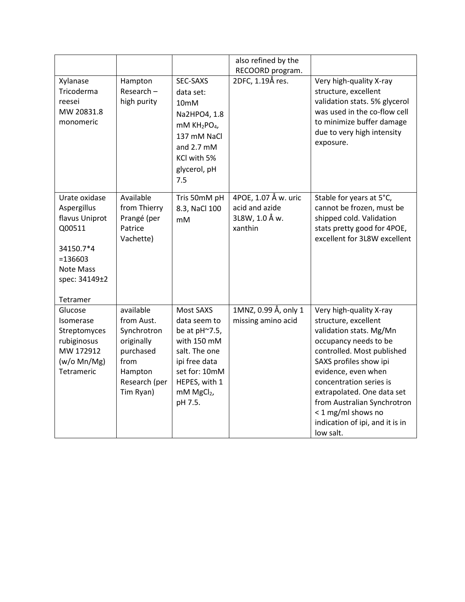|                                                                                                                               |                                                                                                                    |                                                                                                                                                                    | also refined by the<br>RECOORD program.                             |                                                                                                                                                                                                                                                                                                                                                  |
|-------------------------------------------------------------------------------------------------------------------------------|--------------------------------------------------------------------------------------------------------------------|--------------------------------------------------------------------------------------------------------------------------------------------------------------------|---------------------------------------------------------------------|--------------------------------------------------------------------------------------------------------------------------------------------------------------------------------------------------------------------------------------------------------------------------------------------------------------------------------------------------|
| Xylanase<br>Tricoderma<br>reesei<br>MW 20831.8<br>monomeric                                                                   | Hampton<br>$Research -$<br>high purity                                                                             | SEC-SAXS<br>data set:<br>10mM<br>Na2HPO4, 1.8<br>mM KH <sub>2</sub> PO <sub>4</sub> ,<br>137 mM NaCl<br>and $2.7 \text{ mM}$<br>KCl with 5%<br>glycerol, pH<br>7.5 | 2DFC, 1.19Å res.                                                    | Very high-quality X-ray<br>structure, excellent<br>validation stats. 5% glycerol<br>was used in the co-flow cell<br>to minimize buffer damage<br>due to very high intensity<br>exposure.                                                                                                                                                         |
| Urate oxidase<br>Aspergillus<br>flavus Uniprot<br>Q00511<br>34150.7*4<br>$= 136603$<br>Note Mass<br>spec: 34149±2<br>Tetramer | Available<br>from Thierry<br>Prangé (per<br>Patrice<br>Vachette)                                                   | Tris 50mM pH<br>8.3, NaCl 100<br>mM                                                                                                                                | 4POE, 1.07 Å w. uric<br>acid and azide<br>3L8W, 1.0 Å w.<br>xanthin | Stable for years at 5°C,<br>cannot be frozen, must be<br>shipped cold. Validation<br>stats pretty good for 4POE,<br>excellent for 3L8W excellent                                                                                                                                                                                                 |
| Glucose<br><b>Isomerase</b><br>Streptomyces<br>rubiginosus<br>MW 172912<br>(w/o Mn/Mg)<br>Tetrameric                          | available<br>from Aust.<br>Synchrotron<br>originally<br>purchased<br>from<br>Hampton<br>Research (per<br>Tim Ryan) | Most SAXS<br>data seem to<br>be at pH~7.5,<br>with 150 mM<br>salt. The one<br>ipi free data<br>set for: 10mM<br>HEPES, with 1<br>mM MgCl2,<br>pH 7.5.              | 1MNZ, 0.99 Å, only 1<br>missing amino acid                          | Very high-quality X-ray<br>structure, excellent<br>validation stats. Mg/Mn<br>occupancy needs to be<br>controlled. Most published<br>SAXS profiles show ipi<br>evidence, even when<br>concentration series is<br>extrapolated. One data set<br>from Australian Synchrotron<br>< 1 mg/ml shows no<br>indication of ipi, and it is in<br>low salt. |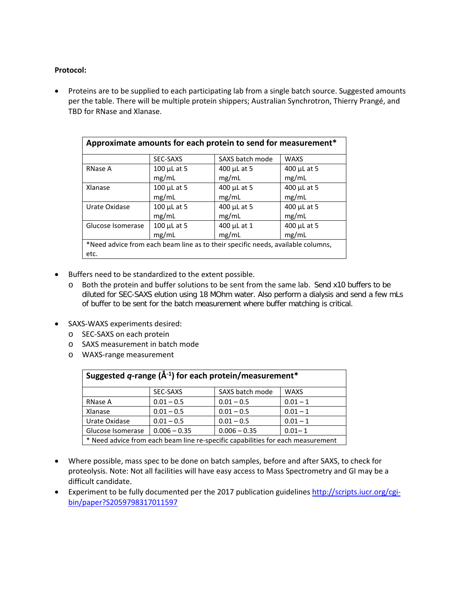### **Protocol:**

• Proteins are to be supplied to each participating lab from a single batch source. Suggested amounts per the table. There will be multiple protein shippers; Australian Synchrotron, Thierry Prangé, and TBD for RNase and Xlanase.

| Approximate amounts for each protein to send for measurement*                   |                             |                      |                      |  |  |  |
|---------------------------------------------------------------------------------|-----------------------------|----------------------|----------------------|--|--|--|
|                                                                                 | SEC-SAXS                    | SAXS batch mode      | <b>WAXS</b>          |  |  |  |
| <b>RNase A</b>                                                                  | $100$ µL at 5<br>mg/mL      | 400 µL at 5<br>mg/mL | 400 µL at 5<br>mg/mL |  |  |  |
| Xlanase                                                                         | $100$ $\mu$ L at 5          | 400 µL at 5          | 400 µL at 5          |  |  |  |
|                                                                                 | mg/mL                       | mg/mL                | mg/mL                |  |  |  |
| Urate Oxidase                                                                   | $100$ $\mu$ L at 5<br>mg/mL | 400 µL at 5<br>mg/mL | 400 µL at 5<br>mg/mL |  |  |  |
| Glucose Isomerase                                                               | 100 µL at 5                 | 400 µL at 1          | 400 µL at 5          |  |  |  |
|                                                                                 | mg/mL                       | mg/mL                | mg/mL                |  |  |  |
| *Need advice from each beam line as to their specific needs, available columns, |                             |                      |                      |  |  |  |
| etc.                                                                            |                             |                      |                      |  |  |  |

- Buffers need to be standardized to the extent possible.
	- o Both the protein and buffer solutions to be sent from the same lab. Send x10 buffers to be diluted for SEC-SAXS elution using 18 MOhm water. Also perform a dialysis and send a few mLs of buffer to be sent for the batch measurement where buffer matching is critical.
- SAXS-WAXS experiments desired:
	- o SEC-SAXS on each protein
	- o SAXS measurement in batch mode
	- o WAXS-range measurement

| Suggested q-range ( $\AA^{-1}$ ) for each protein/measurement*                  |                |                 |             |  |  |  |
|---------------------------------------------------------------------------------|----------------|-----------------|-------------|--|--|--|
|                                                                                 | SEC-SAXS       | SAXS batch mode | <b>WAXS</b> |  |  |  |
| <b>RNase A</b>                                                                  | $0.01 - 0.5$   | $0.01 - 0.5$    | $0.01 - 1$  |  |  |  |
| <b>Xlanase</b>                                                                  | $0.01 - 0.5$   | $0.01 - 0.5$    | $0.01 - 1$  |  |  |  |
| Urate Oxidase                                                                   | $0.01 - 0.5$   | $0.01 - 0.5$    | $0.01 - 1$  |  |  |  |
| Glucose Isomerase                                                               | $0.006 - 0.35$ | $0.006 - 0.35$  | $0.01 - 1$  |  |  |  |
| * Need advice from each beam line re-specific capabilities for each measurement |                |                 |             |  |  |  |

- Where possible, mass spec to be done on batch samples, before and after SAXS, to check for proteolysis. Note: Not all facilities will have easy access to Mass Spectrometry and GI may be a difficult candidate.
- Experiment to be fully documented per the 2017 publication guidelines [http://scripts.iucr.org/cgi](http://scripts.iucr.org/cgi-bin/paper?S2059798317011597)[bin/paper?S2059798317011597](http://scripts.iucr.org/cgi-bin/paper?S2059798317011597)